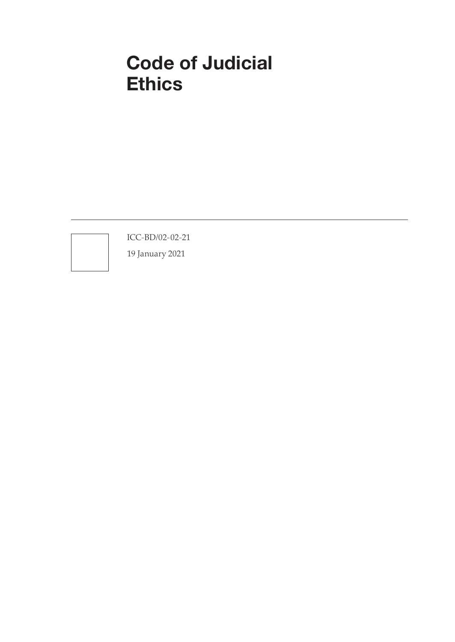# Code of Judicial **Ethics**

ICC-BD/02-02-21

19 January 2021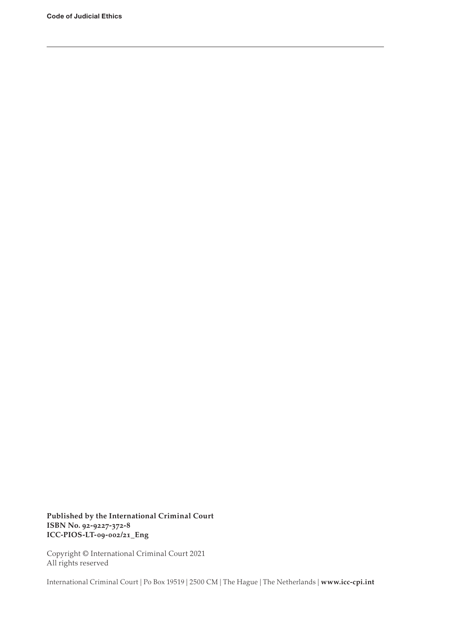**Published by the International Criminal Court ISBN No. 92-9227-372-8 ICC-PIOS-LT-09-002/21\_Eng**

Copyright © International Criminal Court 2021 All rights reserved

International Criminal Court | Po Box 19519 | 2500 CM | The Hague | The Netherlands | **www.icc-cpi.int**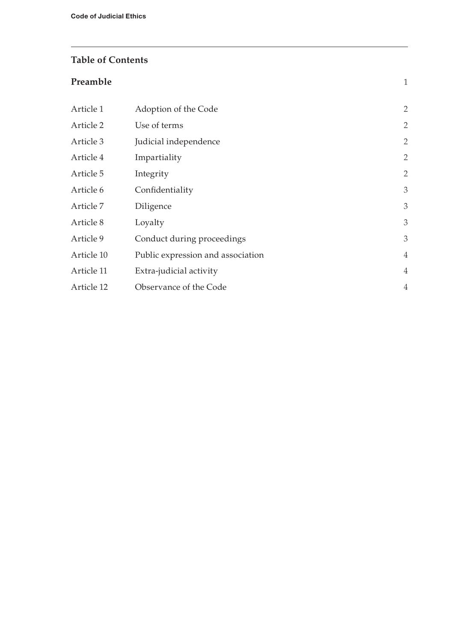#### **Table of Contents**

# **[Preamble](#page-4-0)** 1 Article 1 [Adoption of the Code](#page-5-0) 2 Article 2 [Use of terms](#page-5-0) 2 Article 3 [Judicial independence](#page-5-0) 2 Article 4 [Impartiality](#page-5-0) 2 Article 5 [Integrity](#page-5-0) 2 Article 6 [Confidentiality](#page-6-0) 3 Article 7 [Diligence](#page-6-0) 3 [Article 8](#page-6-0) Loyalty 3 Article 9 [Conduct during proceedings](#page-6-0) 3 Article 10 [Public expression and association](#page-7-0) 4 Article 11 [Extra-judicial activity](#page-7-0) 4 Article 12 [Observance of the Code](#page-7-0) 4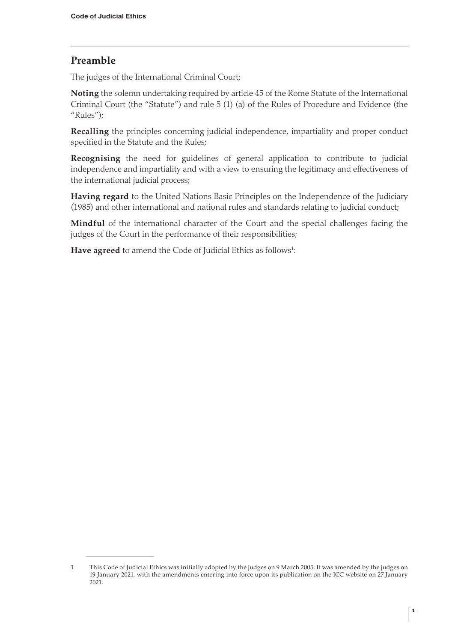# <span id="page-4-0"></span>**Preamble**

The judges of the International Criminal Court;

**Noting** the solemn undertaking required by article 45 of the Rome Statute of the International Criminal Court (the "Statute") and rule 5 (1) (a) of the Rules of Procedure and Evidence (the "Rules");

**Recalling** the principles concerning judicial independence, impartiality and proper conduct specified in the Statute and the Rules;

**Recognising** the need for guidelines of general application to contribute to judicial independence and impartiality and with a view to ensuring the legitimacy and effectiveness of the international judicial process;

**Having regard** to the United Nations Basic Principles on the Independence of the Judiciary (1985) and other international and national rules and standards relating to judicial conduct;

**Mindful** of the international character of the Court and the special challenges facing the judges of the Court in the performance of their responsibilities;

**Have agreed** to amend the Code of Judicial Ethics as follows $^{\text{1}}$ :

<sup>1</sup> This Code of Judicial Ethics was initially adopted by the judges on 9 March 2005. It was amended by the judges on 19 January 2021, with the amendments entering into force upon its publication on the ICC website on 27 January 2021.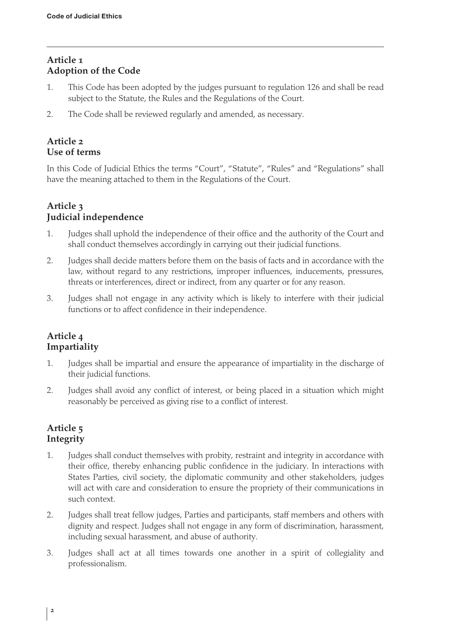# <span id="page-5-0"></span>**Article 1 Adoption of the Code**

- 1. This Code has been adopted by the judges pursuant to regulation 126 and shall be read subject to the Statute, the Rules and the Regulations of the Court.
- 2. The Code shall be reviewed regularly and amended, as necessary.

#### **Article 2 Use of terms**

In this Code of Judicial Ethics the terms "Court", "Statute", "Rules" and "Regulations" shall have the meaning attached to them in the Regulations of the Court.

### **Article 3 Judicial independence**

- 1. Judges shall uphold the independence of their office and the authority of the Court and shall conduct themselves accordingly in carrying out their judicial functions.
- 2. Judges shall decide matters before them on the basis of facts and in accordance with the law, without regard to any restrictions, improper influences, inducements, pressures, threats or interferences, direct or indirect, from any quarter or for any reason.
- 3. Judges shall not engage in any activity which is likely to interfere with their judicial functions or to affect confidence in their independence.

#### **Article 4 Impartiality**

- 1. Judges shall be impartial and ensure the appearance of impartiality in the discharge of their judicial functions.
- 2. Judges shall avoid any conflict of interest, or being placed in a situation which might reasonably be perceived as giving rise to a conflict of interest.

#### **Article 5 Integrity**

- 1. Judges shall conduct themselves with probity, restraint and integrity in accordance with their office, thereby enhancing public confidence in the judiciary. In interactions with States Parties, civil society, the diplomatic community and other stakeholders, judges will act with care and consideration to ensure the propriety of their communications in such context.
- 2. Judges shall treat fellow judges, Parties and participants, staff members and others with dignity and respect. Judges shall not engage in any form of discrimination, harassment, including sexual harassment, and abuse of authority.
- 3. Judges shall act at all times towards one another in a spirit of collegiality and professionalism.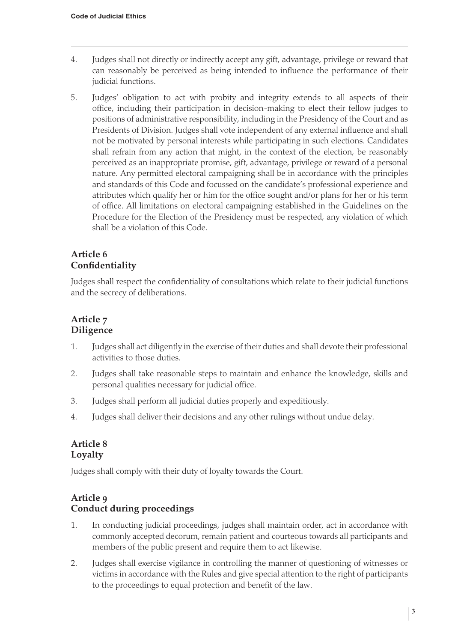- <span id="page-6-0"></span>4. Judges shall not directly or indirectly accept any gift, advantage, privilege or reward that can reasonably be perceived as being intended to influence the performance of their judicial functions.
- 5. Judges' obligation to act with probity and integrity extends to all aspects of their office, including their participation in decision-making to elect their fellow judges to positions of administrative responsibility, including in the Presidency of the Court and as Presidents of Division. Judges shall vote independent of any external influence and shall not be motivated by personal interests while participating in such elections. Candidates shall refrain from any action that might, in the context of the election, be reasonably perceived as an inappropriate promise, gift, advantage, privilege or reward of a personal nature. Any permitted electoral campaigning shall be in accordance with the principles and standards of this Code and focussed on the candidate's professional experience and attributes which qualify her or him for the office sought and/or plans for her or his term of office. All limitations on electoral campaigning established in the Guidelines on the Procedure for the Election of the Presidency must be respected, any violation of which shall be a violation of this Code.

# **Article 6 Confidentiality**

Judges shall respect the confidentiality of consultations which relate to their judicial functions and the secrecy of deliberations.

#### **Article 7 Diligence**

- 1. Judges shall act diligently in the exercise of their duties and shall devote their professional activities to those duties.
- 2. Judges shall take reasonable steps to maintain and enhance the knowledge, skills and personal qualities necessary for judicial office.
- 3. Judges shall perform all judicial duties properly and expeditiously.
- 4. Judges shall deliver their decisions and any other rulings without undue delay.

#### **Article 8 Loyalty**

Judges shall comply with their duty of loyalty towards the Court.

#### **Article 9 Conduct during proceedings**

- 1. In conducting judicial proceedings, judges shall maintain order, act in accordance with commonly accepted decorum, remain patient and courteous towards all participants and members of the public present and require them to act likewise.
- 2. Judges shall exercise vigilance in controlling the manner of questioning of witnesses or victims in accordance with the Rules and give special attention to the right of participants to the proceedings to equal protection and benefit of the law.